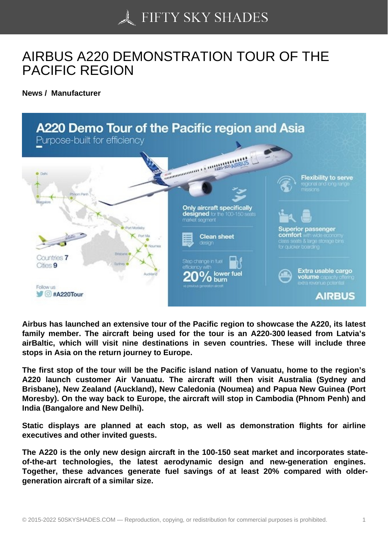## [AIRBUS A220 DEMON](https://50skyshades.com)STRATION TOUR OF THE PACIFIC REGION

News / Manufacturer

Airbus has launched an extensive tour of the Pacific region to showcase the A220, its latest family member. The aircraft being used for the tour is an A220-300 leased from Latvia's airBaltic, which will visit nine destinations in seven countries. These will include three stops in Asia on the return journey to Europe.

The first stop of the tour will be the Pacific island nation of Vanuatu, home to the region's A220 launch customer Air Vanuatu. The aircraft will then visit Australia (Sydney and Brisbane), New Zealand (Auckland), New Caledonia (Noumea) and Papua New Guinea (Port Moresby). On the way back to Europe, the aircraft will stop in Cambodia (Phnom Penh) and India (Bangalore and New Delhi).

Static displays are planned at each stop, as well as demonstration flights for airline executives and other invited guests.

The A220 is the only new design aircraft in the 100-150 seat market and incorporates stateof-the-art technologies, the latest aerodynamic design and new-generation engines. Together, these advances generate fuel savings of at least 20% compared with oldergeneration aircraft of a similar size.